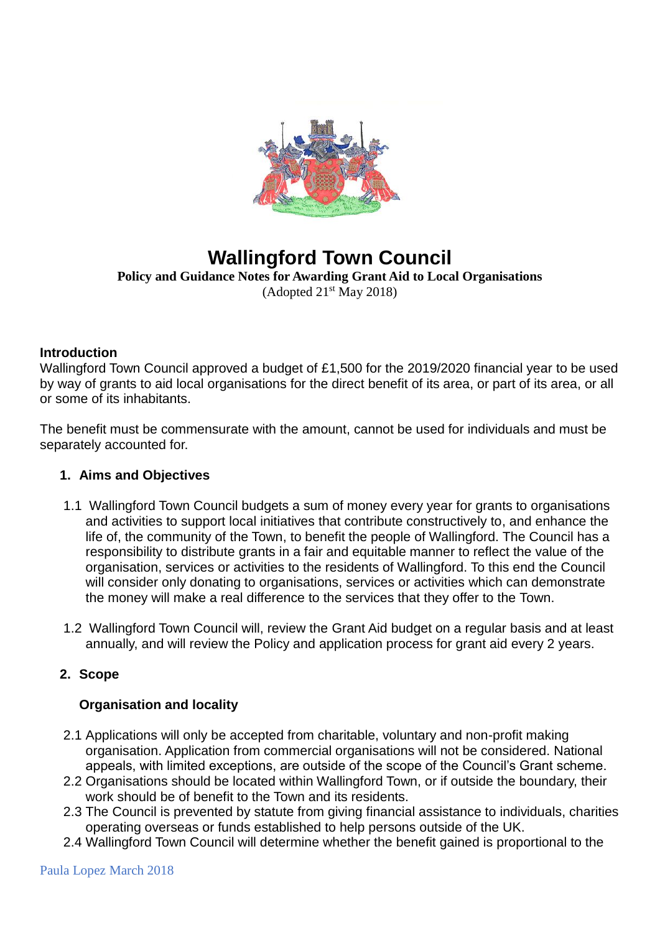

# **Wallingford Town Council Policy and Guidance Notes for Awarding Grant Aid to Local Organisations**

(Adopted  $21<sup>st</sup>$  May 2018)

#### **Introduction**

Wallingford Town Council approved a budget of £1,500 for the 2019/2020 financial year to be used by way of grants to aid local organisations for the direct benefit of its area, or part of its area, or all or some of its inhabitants.

The benefit must be commensurate with the amount, cannot be used for individuals and must be separately accounted for.

#### **1. Aims and Objectives**

- 1.1 Wallingford Town Council budgets a sum of money every year for grants to organisations and activities to support local initiatives that contribute constructively to, and enhance the life of, the community of the Town, to benefit the people of Wallingford. The Council has a responsibility to distribute grants in a fair and equitable manner to reflect the value of the organisation, services or activities to the residents of Wallingford. To this end the Council will consider only donating to organisations, services or activities which can demonstrate the money will make a real difference to the services that they offer to the Town.
- 1.2 Wallingford Town Council will, review the Grant Aid budget on a regular basis and at least annually, and will review the Policy and application process for grant aid every 2 years.

# **2. Scope**

# **Organisation and locality**

- 2.1 Applications will only be accepted from charitable, voluntary and non-profit making organisation. Application from commercial organisations will not be considered. National appeals, with limited exceptions, are outside of the scope of the Council's Grant scheme.
- 2.2 Organisations should be located within Wallingford Town, or if outside the boundary, their work should be of benefit to the Town and its residents.
- 2.3 The Council is prevented by statute from giving financial assistance to individuals, charities operating overseas or funds established to help persons outside of the UK.
- 2.4 Wallingford Town Council will determine whether the benefit gained is proportional to the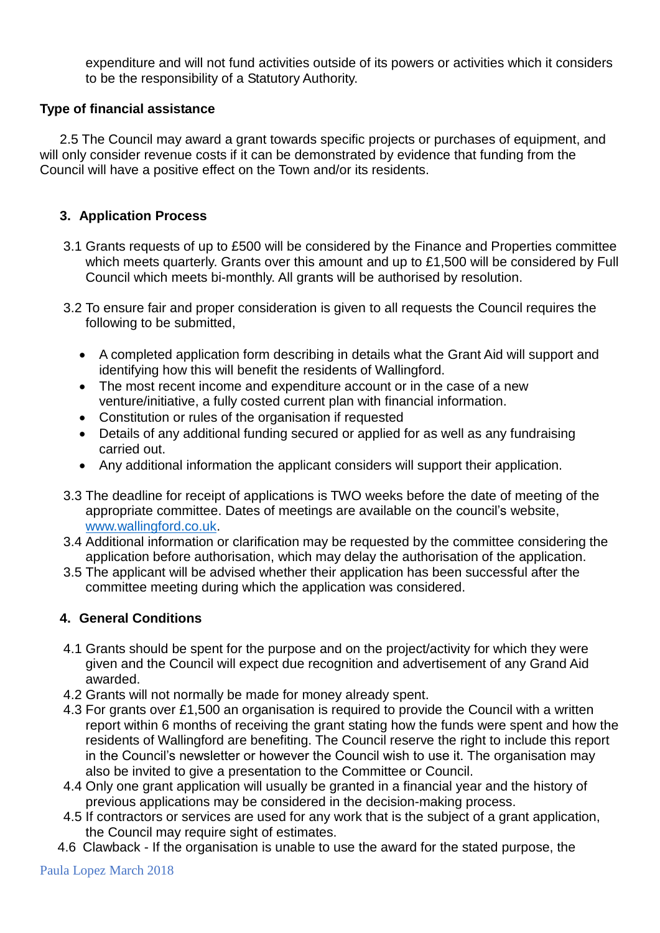expenditure and will not fund activities outside of its powers or activities which it considers to be the responsibility of a Statutory Authority.

# **Type of financial assistance**

2.5 The Council may award a grant towards specific projects or purchases of equipment, and will only consider revenue costs if it can be demonstrated by evidence that funding from the Council will have a positive effect on the Town and/or its residents.

#### **3. Application Process**

- 3.1 Grants requests of up to £500 will be considered by the Finance and Properties committee which meets quarterly. Grants over this amount and up to £1,500 will be considered by Full Council which meets bi-monthly. All grants will be authorised by resolution.
- 3.2 To ensure fair and proper consideration is given to all requests the Council requires the following to be submitted,
	- A completed application form describing in details what the Grant Aid will support and identifying how this will benefit the residents of Wallingford.
	- The most recent income and expenditure account or in the case of a new venture/initiative, a fully costed current plan with financial information.
	- Constitution or rules of the organisation if requested
	- Details of any additional funding secured or applied for as well as any fundraising carried out.
	- Any additional information the applicant considers will support their application.
- 3.3 The deadline for receipt of applications is TWO weeks before the date of meeting of the appropriate committee. Dates of meetings are available on the council's website, [www.wallingford.co.uk.](http://www.wallingford.co.uk/)
- 3.4 Additional information or clarification may be requested by the committee considering the application before authorisation, which may delay the authorisation of the application.
- 3.5 The applicant will be advised whether their application has been successful after the committee meeting during which the application was considered.

# **4. General Conditions**

- 4.1 Grants should be spent for the purpose and on the project/activity for which they were given and the Council will expect due recognition and advertisement of any Grand Aid awarded.
- 4.2 Grants will not normally be made for money already spent.
- 4.3 For grants over £1,500 an organisation is required to provide the Council with a written report within 6 months of receiving the grant stating how the funds were spent and how the residents of Wallingford are benefiting. The Council reserve the right to include this report in the Council's newsletter or however the Council wish to use it. The organisation may also be invited to give a presentation to the Committee or Council.
- 4.4 Only one grant application will usually be granted in a financial year and the history of previous applications may be considered in the decision-making process.
- 4.5 If contractors or services are used for any work that is the subject of a grant application, the Council may require sight of estimates.
- 4.6 Clawback If the organisation is unable to use the award for the stated purpose, the